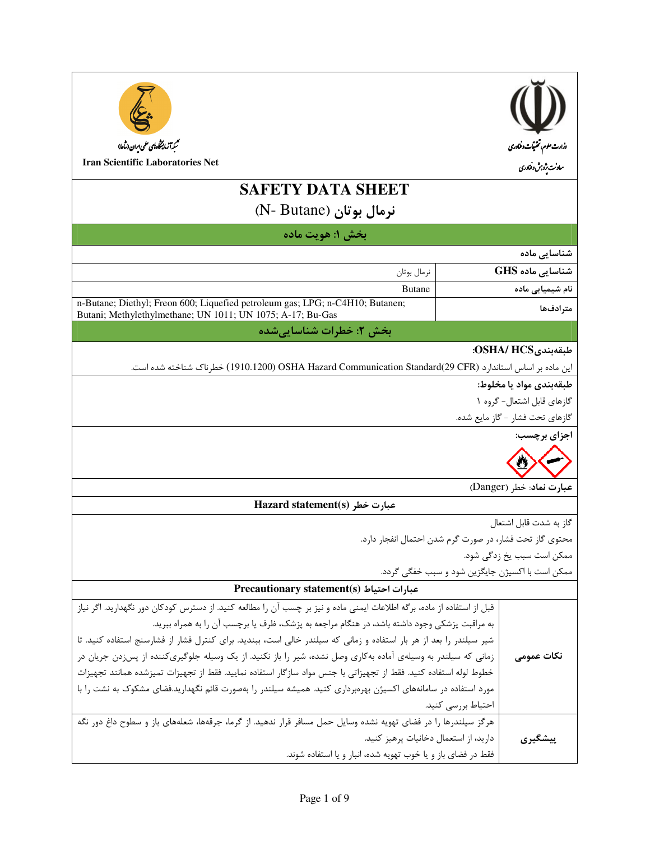| تىمېدآ زمايىڭى ەبىي مىران (ساعا)                                                                                                                                                                                       |                    |                                                      |  |
|------------------------------------------------------------------------------------------------------------------------------------------------------------------------------------------------------------------------|--------------------|------------------------------------------------------|--|
| <b>Iran Scientific Laboratories Net</b>                                                                                                                                                                                |                    | وزارت علوم، تحتیقات وفناوری<br>معاونت یژه بش وفناوری |  |
| <b>SAFETY DATA SHEET</b>                                                                                                                                                                                               |                    |                                                      |  |
| نرمال بوتان (N- Butane)                                                                                                                                                                                                |                    |                                                      |  |
|                                                                                                                                                                                                                        |                    |                                                      |  |
| بخش ۱: هويت ماده                                                                                                                                                                                                       |                    |                                                      |  |
|                                                                                                                                                                                                                        |                    | شناسایی ماده                                         |  |
| نرمال بوتان                                                                                                                                                                                                            |                    | شناسایی ماده GHS                                     |  |
| <b>Butane</b><br>n-Butane; Diethyl; Freon 600; Liquefied petroleum gas; LPG; n-C4H10; Butanen;                                                                                                                         |                    | نام شیمیایی ماده                                     |  |
| Butani; Methylethylmethane; UN 1011; UN 1075; A-17; Bu-Gas                                                                                                                                                             |                    | مترادفها                                             |  |
| بخش ۲: خطرات شناساییشده                                                                                                                                                                                                |                    |                                                      |  |
|                                                                                                                                                                                                                        |                    | طبقەبندى:OSHA/ HCS:                                  |  |
| این ماده بر اساس استاندارد OSHA Hazard Communication Standard(29 CFR) ) خطرناک شناخته شده است.                                                                                                                         |                    |                                                      |  |
|                                                                                                                                                                                                                        |                    | طبقەبندى مواد يا مخلوط:                              |  |
|                                                                                                                                                                                                                        |                    | گازهای قابل اشتعال- گروه ۱                           |  |
|                                                                                                                                                                                                                        |                    | گازهای تحت فشار - گاز مایع شده.                      |  |
|                                                                                                                                                                                                                        |                    | اجزای برچسب:                                         |  |
|                                                                                                                                                                                                                        |                    |                                                      |  |
|                                                                                                                                                                                                                        |                    |                                                      |  |
|                                                                                                                                                                                                                        |                    | عبارت نماد: خطر (Danger)                             |  |
| Hazard statement(s) عبارت خطر                                                                                                                                                                                          |                    |                                                      |  |
| گاز به شدت قابل اشتعال                                                                                                                                                                                                 |                    |                                                      |  |
| محتوی گاز تحت فشار، در صورت گرم شدن احتمال انفجار دارد.                                                                                                                                                                |                    |                                                      |  |
| ممکن است سبب یخ زدگی شود.                                                                                                                                                                                              |                    |                                                      |  |
| ممکن است با اکسیژن جایگزین شود و سبب خفگی گردد.                                                                                                                                                                        |                    |                                                      |  |
| Precautionary statement(s) عبارات احتياط                                                                                                                                                                               |                    |                                                      |  |
| قبل از استفاده از ماده، برگه اطلاعات ایمنی ماده و نیز بر چسب آن را مطالعه کنید. از دسترس کودکان دور نگهدارید. اگر نیاز<br>به مراقبت پزشکی وجود داشته باشد، در هنگام مراجعه به پزشک، ظرف یا برچسب آن را به همراه ببرید. |                    |                                                      |  |
| شیر سیلندر را بعد از هر بار استفاده و زمانی که سیلندر خالی است، ببندید. برای کنترل فشار از فشارسنج استفاده کنید. تا                                                                                                    |                    |                                                      |  |
| زمانی که سیلندر به وسیلهی آماده بهکاری وصل نشده، شیر را باز نکنید. از یک وسیله جلوگیریکننده از پس زدن جریان در                                                                                                         |                    | نكات عمومى                                           |  |
| خطوط لوله استفاده كنيد. فقط از تجهيزاتي با جنس مواد سازگار استفاده نماييد. فقط از تجهيزات تميزشده همانند تجهيزات                                                                                                       |                    |                                                      |  |
| مورد استفاده در سامانههای اکسیژن بهرهبرداری کنید. همیشه سیلندر را بهصورت قائم نگهدارید.فضای مشکوک به نشت را با                                                                                                         |                    |                                                      |  |
|                                                                                                                                                                                                                        | احتياط بررسي كنيد. |                                                      |  |
| هرگز سیلندرها را در فضای تهویه نشده وسایل حمل مسافر قرار ندهید. از گرما، جرقهها، شعلههای باز و سطوح داغ دور نگه                                                                                                        |                    |                                                      |  |
| دارید، از استعمال دخانیات پرهیز کنید.                                                                                                                                                                                  |                    | پیشگیری                                              |  |
| فقط در فضای باز و یا خوب تهویه شده، انبار و یا استفاده شوند.                                                                                                                                                           |                    |                                                      |  |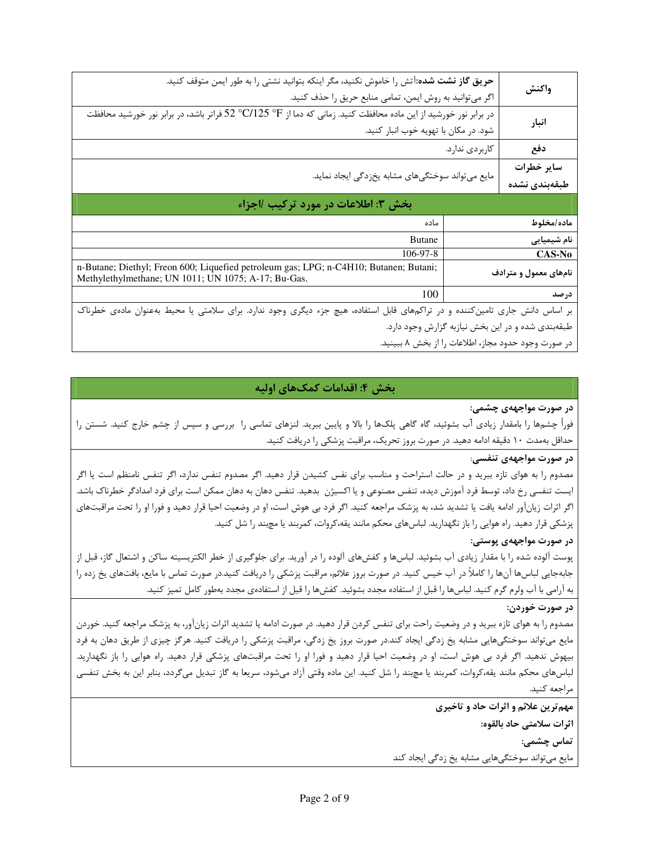| واكنش                                               |                | حريق گاز نشت شده:آتش را خاموش نكنيد، مگر اينكه بتوانيد نشتي را به طور ايمن متوقف كنيد.<br>اگر میتوانید به روش ایمن، تمامی منابع حریق را حذف کنید.                        |  |  |
|-----------------------------------------------------|----------------|--------------------------------------------------------------------------------------------------------------------------------------------------------------------------|--|--|
| انبار                                               |                | در برابر نور خورشید از این ماده محافظت کنید. زمانی که دما از G $^{\circ}\text{F}$ °C/125 فراتر باشد، در برابر نور خورشید محافظت<br>شود. در مكان با تهويه خوب انبار كنيد. |  |  |
| دفع                                                 | كاربردى ندارد. |                                                                                                                                                                          |  |  |
| ساير خطرات                                          |                |                                                                                                                                                                          |  |  |
| طبقەبندى نشدە                                       |                | مایع میتواند سوختگیهای مشابه یخزدگی ایجاد نماید.                                                                                                                         |  |  |
|                                                     |                | بخش ٣: اطلاعات در مورد تركيب ااجزاء                                                                                                                                      |  |  |
| ماده/مخلوط                                          |                | ماده                                                                                                                                                                     |  |  |
| نام شیمیایی                                         |                | <b>Butane</b>                                                                                                                                                            |  |  |
| CAS-No                                              |                | 106-97-8                                                                                                                                                                 |  |  |
| نامهای معمول و مترادف                               |                | n-Butane; Diethyl; Freon 600; Liquefied petroleum gas; LPG; n-C4H10; Butanen; Butani;<br>Methylethylmethane; UN 1011; UN 1075; A-17; Bu-Gas.                             |  |  |
| درصد                                                |                | 100                                                                                                                                                                      |  |  |
|                                                     |                | بر اساس دانش جاری تامینکننده و در تراکمهای قابل استفاده، هیچ جزء دیگری وجود ندارد. برای سلامتی یا محیط بهعنوان مادهی خطرناک                                              |  |  |
| طبقهبندی شده و در این بخش نیازبه گزارش وجود دارد.   |                |                                                                                                                                                                          |  |  |
| در صورت وجود حدود مجاز، اطلاعات را از بخش ۸ ببینید. |                |                                                                                                                                                                          |  |  |

# بخش ۴: اقدامات کمکهای اولیه

#### در صورت مواجههی چشمی:

فوراً چشمها را بامقدار زیادی آب بشوئید، گاه گاهی پلکها را بالا و پایین ببرید. لنزهای تماسی را بررسی و سپس از چشم خارج کنید. شستن را حداقل بهمدت ۱۰ دقیقه ادامه دهید. در صورت بروز تحریک، مراقبت پزشکی را دریافت کنید.

## در صورت مواجههی تنفسی:

مصدوم را به هوای تازه ببرید و در حالت استراحت و مناسب برای نفس کشیدن قرار دهید. اگر مصدوم تنفس ندارد، اگر تنفس نامنظم است یا اگر ایست تنفسی رخ داد، توسط فرد آموزش دیده، تنفس مصنوعی و یا اکسیژن بدهید. تنفس دهان به دهان ممکن است برای فرد امدادگر خطرناک باشد. اگر اثرات زیانآور ادامه یافت یا تشدید شد، به پزشک مراجعه کنید. اگر فرد بی هوش است، او در وضعیت احیا قرار دهید و فورا او را تحت مراقبتهای پزشکی قرار دهید. راه هوایی را باز نگهدارید. لباسهای محکم مانند یقه،کروات، کمربند یا مچبند را شل کنید.

## در صورت مواجههی پوستی:

پوست آلوده شده را با مقدار زیادی آب بشوئید. لباسها و کفشهای آلوده را در آورید. برای جلوگیری از خطر الکتریسیته ساکن و اشتعال گاز، قبل از جابهجایی لباسها آنها را کاملاً در آب خیس کنید. در صورت بروز علائم، مراقبت پزشکی را دریافت کنید.در صورت تماس با مایع، بافتهای یخ زده را به آرامی با آب ولرم گرم کنید. لباسها را قبل از استفاده مجدد بشوئید. کفشها را قبل از استفادهی مجدد بهطور کامل تمیز کنید.

## در صورت خوردن:

مصدوم را به هوای تازه ببرید و در وضعیت راحت برای تنفس کردن قرار دهید. در صورت ادامه یا تشدید اثرات زیانآور، به پزشک مراجعه کنید. خوردن مایع میتواند سوختگیهایی مشابه یخ زدگی ایجاد کند.در صورت بروز یخ زدگی، مراقبت پزشکی را دریافت کنید. هرگز چیزی از طریق دهان به فرد بیهوش ندهید. اگر فرد بی هوش است، او در وضعیت احیا قرار دهید و فورا او را تحت مراقبتهای پزشکی قرار دهید. راه هوایی را باز نگهدارید. لباسهای محکم مانند یقه،کروات، کمربند یا مچند را شل کنید. این ماده وقتی آزاد میشود، سریعا به گاز تبدیل میگردد، بنابر این به بخش تنفسی مراجعه كنيد.

مهم ترین علائم و اثرات حاد و تاخیری

اثرات سلامتى حاد بالقوه:

تماس چشمی:

مایع میتواند سوختگیهایی مشابه یخ زدگی ایجاد کند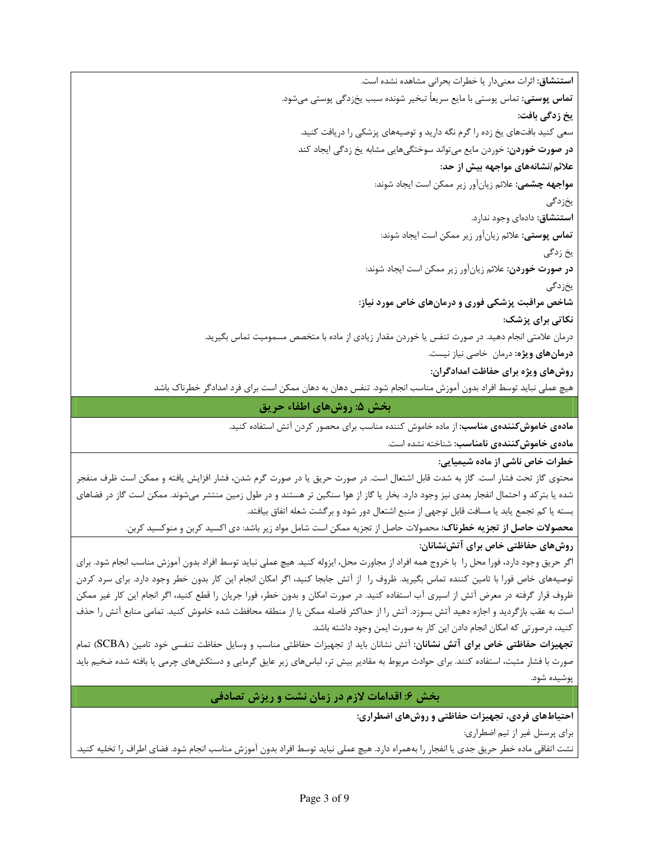استنشاق: اثرات معنى دار یا خطرات بحرانی مشاهده نشده است. **تماس پوستی:** تماس پوستی با مایع سریعاً تبخیر شونده سبب یخزدگی پوستی میشود. یخ زدگ*ی* بافت: سعی کنید بافتهای یخ زده را گرم نگه دارید و توصیههای پزشکی را دریافت کنید. **در صورت خوردن**: خوردن مایع می¤واند سوختگیهایی مشابه یخ زدگی ایجاد کند علائم /نشانههای مواجهه بیش از حد: **مواجهه چشمی:** علائم زیانآور زیر ممکن است ایجاد شوند: يخزدگى استنشاق: دادهای وجود ندارد. **تماس پوستی:** علائم زیانآور زیر ممکن است ایجاد شوند: یخ زدگی **در صورت خوردن:** علائم زيانآور زير ممكن است ايجاد شوند: يخزدگى شاخص مراقبت پزشکی فوری و درمانهای خاص مورد نیاز: نکاتی برای پزشک: درمان علامتی انجام دهید. در صورت تنفس یا خوردن مقدار زیادی از ماده با متخصص مسمومیت تماس بگیرید. **درمانهای ویژه:** درمان خاصی نیاز نیست. روشهای ویژه برای حفاظت امدادگران: هیچ عملی نباید توسط افراد بدون آموزش مناسب انجام شود. تنفس دهان به دهان ممکن است برای فرد امدادگر خطرناک باشد بخش ۵: روشهای اطفاء حریق م**ادهی خاموش** *ک***نندهی مناسب**: از ماده خاموش کننده مناسب برای محصور کردن آتش استفاده کنید. مادەى خاموشكنندەى نامناسب: شناختە نشدە است. خطرات خاص ناشی از ماده شیمیایی: محتوی گاز تحت فشار است. گاز به شدت قابل اشتعال است. در صورت حریق یا در صورت گرم شدن، فشار افزایش یافته و ممکن است ظرف منفجر

شده یا بترکد و احتمال انفجار بعدی نیز وجود دارد. بخار یا گاز از هوا سنگین تر هستند و در طول زمین منتشر میشوند. ممکن است گاز در فضاهای بسته یا کم تجمع یابد یا مسافت قابل توجهی از منبع اشتعال دور شود و برگشت شعله اتفاق بیافتد.

محصولات حاصل از تجزیه خطرناک: محصولات حاصل از تجزیه ممکن است شامل مواد زیر باشد: دی اکسید کربن و منوکسید کربن.

# روش های حفاظتی خاص برای آتش;نشانان:

اگر حریق وجود دارد، فورا محل را با خروج همه افراد از مجاورت محل، ایزوله کنید. هیچ عملی نباید توسط افراد بدون آموزش مناسب انجام شود. برای توصیههای خاص فورا با تامین کننده تماس بگیرید. ظروف را از آتش جابجا کنید، اگر امکان انجام این کار بدون خطر وجود دارد. برای سرد کردن ظروف قرار گرفته در معرض آتش از اسپری آب استفاده کنید. در صورت امکان و بدون خطر، فورا جریان را قطع کنید، اگر انجام این کار غیر ممکن است به عقب بازگردید و اجازه دهید آتش بسوزد. آتش را از حداکثر فاصله ممکن یا از منطقه محافظت شده خاموش کنید. تمامی منابع آتش را حذف کنید، درصورتی که امکان انجام دادن این کار به صورت ایمن وجود داشته باشد.

تجهیزات حفاظتی خاص برای آتش نشانان: آتش نشانان باید از تجهیزات حفاظتی مناسب و وسایل حفاظت تنفسی خود تامین (SCBA) تمام صورت با فشار مثبت، استفاده کنند. برای حوادث مربوط به مقادیر بیش تر، لباسهای زیر عایق گرمایی و دستکشهای چرمی یا بافته شده ضخیم باید پوشيده شود.

بخش ۶: اقدامات لازم در زمان نشت و ریزش تصادفی

احتیاطهای فردی، تجهیزات حفاظتی و روشهای اضطراری:

براي پرسنل غير از تيم اضطراري:

نشت اتفاقي ماده خطر حريق جدى يا انفجار را بههمراه دارد. هيچ عملي نبايد توسط افراد بدون آموزش مناسب انجام شود. فضاي اطراف را تخليه كنيد.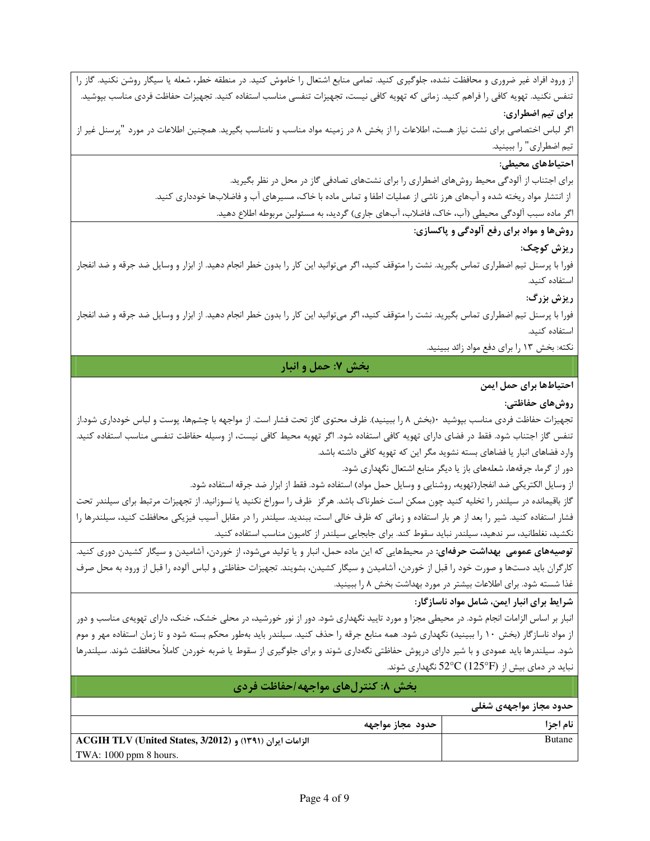از ورود افراد غیر ضروری و محافظت نشده، جلوگیری کنید. تمامی منابع اشتعال را خاموش کنید. در منطقه خطر، شعله یا سیگار روشن نکنید. گاز را تنفس نكنيد. تهويه كافي را فراهم كنيد. زماني كه تهويه كافي نيست، تجهيزات تنفسي مناسب استفاده كنيد. تجهيزات حفاظت فردى مناسب بپوشيد.

برای تیم اضطراری:

اگر لباس اختصاصی برای نشت نیاز هست، اطلاعات را از بخش ۸ در زمینه مواد مناسب و نامناسب بگیرید. همچنین اطلاعات در مورد "پرسنل غیر از تیم اضطراری" را ببینید.

## احتياطهاي محيطي:

برای اجتناب از آلودگی محیط روشهای اضطراری را برای نشتهای تصادفی گاز در محل در نظر بگیرید. از انتشار مواد ریخته شده و آبهای هرز ناشی از عملیات اطفا و تماس ماده با خاک، مسیرهای آب و فاضلابها خودداری کنید. اگر ماده سبب آلودگی محیطی (آب، خاک، فاضلاب، آبهای جاری) گردید، به مسئولین مربوطه اطلاع دهید.

## روشها و مواد برای رفع آلودگی و پاکسازی:

ريزش كوچك:

فورا با پرسنل تیم اضطراری تماس بگیرید. نشت را متوقف کنید، اگر میتوانید این کار را بدون خطر انجام دهید. از ابزار و وسایل ضد جرقه و ضد انفجار استفاده كنيد.

## ريزش بزرگ:

فورا با پرسنل تیم اضطراری تماس بگیرید. نشت را متوقف کنید، اگر میتوانید این کار را بدون خطر انجام دهید. از ابزار و وسایل ضد جرقه و ضد انفجار استفاده كنىد.

نکته: بخش ۱۳ را برای دفع مواد زائد ببینید.

## بخش ۷: حمل و انبار

## احتياطها براي حمل ايمن

## روشهای حفاظتی:

تجهیزات حفاظت فردی مناسب بپوشید ۶۰(بخش ۸ را ببینید). ظرف محتوی گاز تحت فشار است. از مواجهه با چشمها، پوست و لباس خودداری شود.از تنفس گاز اجتناب شود. فقط در فضای دارای تهویه کافی استفاده شود. اگر تهویه محیط کافی نیست، از وسیله حفاظت تنفسی مناسب استفاده کنید. وارد فضاهای انبار یا فضاهای بسته نشوید مگر این که تهویه کافی داشته باشد.

دور از گرما، جرقهها، شعلههای باز یا دیگر منابع اشتعال نگهداری شود.

از وسايل الكتريكي ضد انفجار(تهويه، روشنايي و وسايل حمل مواد) استفاده شود. فقط از ابزار ضد جرقه استفاده شود.

گاز باقیمانده در سیلندر را تخلیه کنید چون ممکن است خطرناک باشد. هرگز ظرف را سوراخ نکنید یا نسوزانید. از تجهیزات مرتبط برای سیلندر تحت فشار استفاده کنید. شیر را بعد از هر بار استفاده و زمانی که ظرف خالی است، ببندید. سیلندر را در مقابل آسیب فیزیکی محافظت کنید، سیلندرها را نکشید، نغلطانید، سر ندهید، سیلندر نباید سقوط کند. برای جابجایی سیلندر از کامیون مناسب استفاده کنید.

**توصیههای عمومی بهداشت حرفهای**: در محیطهایی که این ماده حمل، انبار و یا تولید میشود، از خوردن، آشامیدن و سیگار کشیدن دوری کنید. کارگران باید دستها و صورت خود را قبل از خوردن، آشامیدن و سیگار کشیدن، بشویند. تجهیزات حفاظتی و لباس آلوده را قبل از ورود به محل صرف غذا شسته شود. برای اطلاعات بیشتر در مورد بهداشت بخش ۸ را ببینید.

## شرایط برای انبار ایمن، شامل مواد ناسازگار:

انبار بر اساس الزامات انجام شود. در محیطی مجزا و مورد تایید نگهداری شود. دور از نور خورشید، در محلی خشک، خنک، دارای تهویهی مناسب و دور از مواد ناسازگار (بخش ۱۰ را ببینید) نگهداری شود. همه منابع جرقه را حذف کنید. سیلندر باید بهطور محکم بسته شود و تا زمان استفاده مهر و موم شود. سیلندرها باید عمودی و با شیر دارای درپوش حفاظتی نگهداری شوند و برای جلوگیری از سقوط یا ضربه خوردن کاملاً محافظت شوند. سیلندرها نباید در دمای بیش از  $\rm C(125^oF)$  نگهداری شوند.

| بخش ٨: کنترلهای مواجهه/حفاظت فردی                                     |                        |  |  |
|-----------------------------------------------------------------------|------------------------|--|--|
|                                                                       | حدود مجاز مواجههی شغلی |  |  |
| حدود مجاز مواجهه                                                      | نام اجزا               |  |  |
| ACGIH TLV (United States, 3/2012) و ACGIH TLV (United States, 3/2012) | Butane                 |  |  |
| TWA: $1000$ ppm 8 hours.                                              |                        |  |  |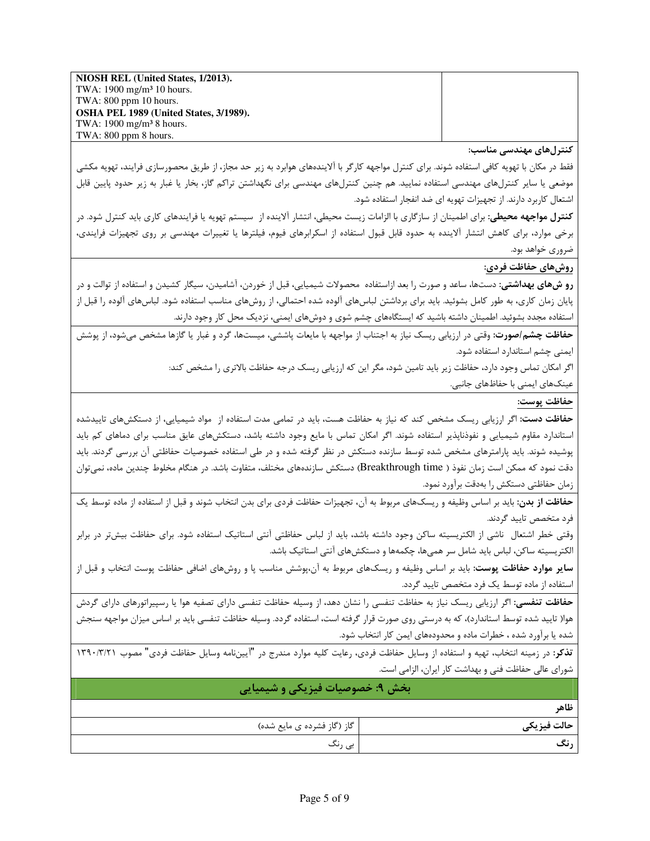NIOSH REL (United States, 1/2013). TWA: 1900 mg/m<sup>3</sup> 10 hours. TWA: 800 ppm 10 hours. OSHA PEL 1989 (United States, 3/1989). TWA: 1900 mg/m<sup>3</sup> 8 hours. TWA: 800 ppm 8 hours.

کنترلهای مهندسی مناسب:

فقط در مكان با تهويه كافي استفاده شوند. براي كنترل مواجهه كارگر با آلايندههاي هوابرد به زير حد مجاز، از طريق محصورسازي فرايند، تهويه مكشي موضعی یا سایر کنترلهای مهندسی استفاده نمایید. هم چنین کنترلهای مهندسی برای نگهداشتن تراکم گاز، بخار یا غبار به زیر حدود پایین قابل اشتعال کاربرد دارند. از تجهیزات تهویه ای ضد انفجار استفاده شود.

**کنترل مواجهه محیطی:** برای اطمینان از سازگاری با الزامات زیست محیطی، انتشار آلاینده از سیستم تهویه یا فرایندهای کاری باید کنترل شود. در برخی موارد، برای کاهش انتشار آلاینده به حدود قابل قبول استفاده از اسکرابرهای فیوم، فیلترها یا تغییرات مهندسی بر روی تجهیزات فرایندی، ضروری خواهد بود.

روشهای حفاظت فردی:

**رو شهای بهداشتی**: دستها، ساعد و صورت را بعد ازاستفاده محصولات شیمیایی، قبل از خوردن، آشامیدن، سیگار کشیدن و استفاده از توالت و در پایان زمان کاری، به طور کامل بشوئید. باید برای برداشتن لباسهای آلوده شده احتمالی، از روشهای مناسب استفاده شود. لباسهای آلوده را قبل از استفاده مجدد بشوئید. اطمینان داشته باشید که ایستگاههای چشم شوی و دوشهای ایمنی، نزدیک محل کار وجود دارند.

حفاظت چشم/صورت: وقتی در ارزیابی ریسک نیاز به اجتناب از مواجهه با مایعات پاششی، میستها، گرد و غبار یا گازها مشخص میشود، از پوشش ایمنی چشم استاندارد استفاده شود.

اگر امکان تماس وجود دارد، حفاظت زیر باید تامین شود، مگر این که ارزیابی ریسک درجه حفاظت بالاتری را مشخص کند:

عینکهای ایمنی با حفاظهای جانبی.

حفاظت پوست:

حفاظت دست: اگر ارزیابی ریسک مشخص کند که نیاز به حفاظت هست، باید در تمامی مدت استفاده از مواد شیمیایی، از دستکشهای تاییدشده استاندارد مقاوم شیمیایی و نفوذناپذیر استفاده شوند. اگر امکان تماس با مایع وجود داشته باشد، دستکشهای عایق مناسب برای دماهای کم باید پوشیده شوند. باید پارامترهای مشخص شده توسط سازنده دستکش در نظر گرفته شده و در طی استفاده خصوصیات حفاظتی آن بررسی گردند. باید دقت نمود که ممکن است زمان نفوذ ( Breakthrough time) دستکش سازندههای مختلف، متفاوت باشد. در هنگام مخلوط چندین ماده، نمی توان زمان حفاظتي دستكش را بهدقت برآورد نمود.

حفاظت از بدن: باید بر اساس وظیفه و ریسکهای مربوط به آن، تجهیزات حفاظت فردی برای بدن انتخاب شوند و قبل از استفاده از ماده توسط یک فرد متخصص تاييد گردند.

وقتی خطر اشتعال ناشی از الکتریسیته ساکن وجود داشته باشد، باید از لباس حفاظتی آنتی استاتیک استفاده شود. برای حفاظت بیش¤ر در برابر الکتریسیته ساکن، لباس باید شامل سر همیها، چکمهها و دستکشهای آنتی استاتیک باشد.

**سایر موارد حفاظت پوست:** باید بر اساس وظیفه و ریسکهای مربوط به آن،پوشش مناسب پا و روشهای اضافی حفاظت پوست انتخاب و قبل از استفاده از ماده توسط یک فرد متخصص تایید گردد.

**حفاظت تنفسی:** اگر ارزیابی ریسک نیاز به حفاظت تنفسی را نشان دهد، از وسیله حفاظت تنفسی دارای تصفیه هوا یا رسپیراتورهای دارای گردش هوا( تاييد شده توسط استاندارد)، كه به درستي روي صورت قرار گرفته است، استفاده گردد. وسيله حفاظت تنفسي بايد بر اساس ميزان مواجهه سنجش شده یا برآورد شده ، خطرات ماده و محدودههای ایمن کار انتخاب شود.

ت**ذکر**: در زمینه انتخاب، تهیه و استفاده از وسایل حفاظت فردی، رعایت کلیه موارد مندرج در "آیینiمه وسایل حفاظت فردی" مصوب ۱۳۹۰/۳/۲۱ شورای عالی حفاظت فنی و بهداشت کار ایران، الزامی است.

| بخش ۹: خصوصیات فیزیکی و شیمیایی |             |  |  |
|---------------------------------|-------------|--|--|
|                                 | ظاهر        |  |  |
| گاز (گاز فشرده ی مایع شده)      | حالت فيزيكي |  |  |
| بی رنگ                          | نگ          |  |  |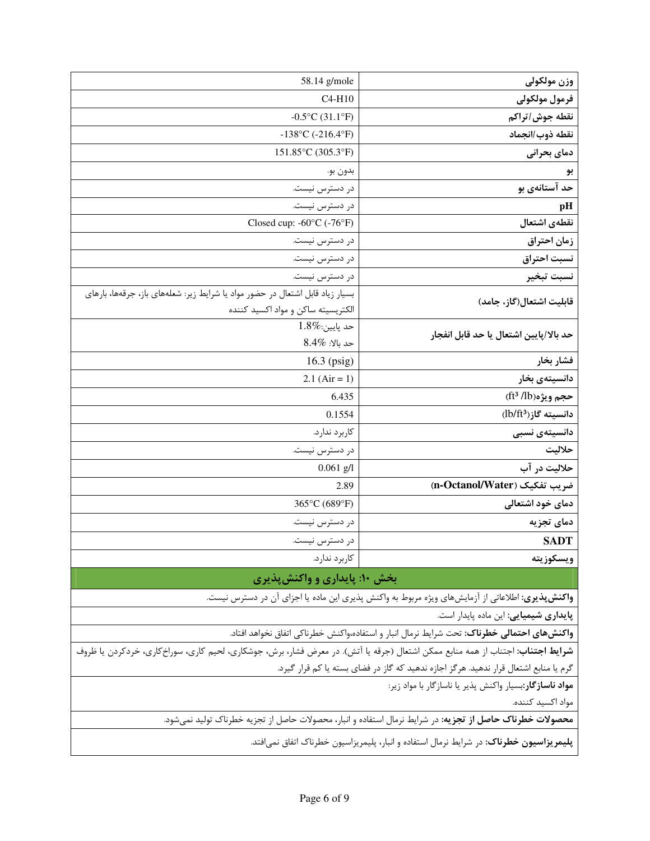| 58.14 g/mole                                                                                                                           | وزن مولكولي                                                                                        |  |
|----------------------------------------------------------------------------------------------------------------------------------------|----------------------------------------------------------------------------------------------------|--|
| $C4-H10$                                                                                                                               | فرمول مولكولى                                                                                      |  |
| $-0.5$ °C (31.1°F)                                                                                                                     | نقطه جوش/تراكم                                                                                     |  |
| $-138$ °C (-216.4°F)                                                                                                                   | نقطه ذوب/انجماد                                                                                    |  |
| 151.85°C (305.3°F)                                                                                                                     | دمای بحرانی                                                                                        |  |
| بدون بو.                                                                                                                               | بو                                                                                                 |  |
| در دسترس نیست.                                                                                                                         | حد آستانهی بو                                                                                      |  |
| در دسترس نیست.                                                                                                                         | pH                                                                                                 |  |
| Closed cup: -60°C (-76°F)                                                                                                              | نقطهى اشتعال                                                                                       |  |
| در دسترس نیست.                                                                                                                         | زمان احتراق                                                                                        |  |
| در دسترس نیست.                                                                                                                         | نسبت احتراق                                                                                        |  |
| در دسترس نیست.                                                                                                                         | نسبت تبخير                                                                                         |  |
| بسیار زیاد قابل اشتعال در حضور مواد یا شرایط زیر: شعلههای باز، جرقهها، بارهای                                                          |                                                                                                    |  |
| الكتريسيته ساكن و مواد اكسيد كننده                                                                                                     | قابلیت اشتعال(گاز، جامد)                                                                           |  |
| $1.8\%$ : حد پايين                                                                                                                     | حد بالا/پايين اشتعال يا حد قابل انفجار                                                             |  |
| $8.4\%$ حد بالا:                                                                                                                       |                                                                                                    |  |
| $16.3$ (psig)                                                                                                                          | فشار بخار                                                                                          |  |
| 2.1 $(Air = 1)$                                                                                                                        | دانسيتەي بخار                                                                                      |  |
| 6.435                                                                                                                                  | حجم ويژه(ft <sup>3</sup> /lb)                                                                      |  |
| 0.1554                                                                                                                                 | دانسیته گاز(3b/ft)                                                                                 |  |
| كاربرد ندارد.                                                                                                                          | دانسیتەی نسبی                                                                                      |  |
| در دسترس نیست.                                                                                                                         | حلاليت                                                                                             |  |
| $0.061$ g/l                                                                                                                            | حلاليت در آب                                                                                       |  |
| 2.89                                                                                                                                   | ضريب تفكيك (n-Octanol/Water)                                                                       |  |
| 365°C (689°F)                                                                                                                          | دمای خود اشتعالی                                                                                   |  |
| در دسترس نیست.                                                                                                                         | دمای تجزیه                                                                                         |  |
| در دسترس نیست.                                                                                                                         | <b>SADT</b>                                                                                        |  |
| كاربرد ندارد.                                                                                                                          | ويسكوزيته                                                                                          |  |
| بخش ۱۰: پایداری و واکنش پذیری                                                                                                          |                                                                                                    |  |
|                                                                                                                                        | واکنش پذیری: اطلاعاتی از آزمایشهای ویژه مربوط به واکنش پذیری این ماده یا اجزای آن در دسترس نیست.   |  |
|                                                                                                                                        | <b>پایداری شیمیایی</b> : این ماده پایدار است.                                                      |  |
|                                                                                                                                        | <b>واکنشهای احتمالی خطرناک</b> : تحت شرایط نرمال انبار و استفاده،واکنش خطرناکی اتفاق نخواهد افتاد. |  |
| <b>شرایط اجتناب</b> : اجتناب از همه منابع ممکن اشتعال (جرقه یا آتش). در معرض فشار، برش، جوشکاری، لحیم کاری، سوراخکاری، خردکردن یا ظروف |                                                                                                    |  |
| گرم یا منابع اشتعال قرار ندهید. هرگز اجازه ندهید که گاز در فضای بسته یا کم قرار گیرد.                                                  |                                                                                                    |  |
| <b>مواد ناسازگار</b> :بسیار واکنش پذیر یا ناسازگار با مواد زیر:                                                                        |                                                                                                    |  |
| مواد اكسيد كننده.                                                                                                                      |                                                                                                    |  |
| محصولات خطرناک حاصل از تجزیه: در شرایط نرمال استفاده و انبار، محصولات حاصل از تجزیه خطرناک تولید نمیشود.                               |                                                                                                    |  |
| <b>پلیمریزاسیون خطرناک</b> : در شرایط نرمال استفاده و انبار، پلیمریزاسیون خطرناک اتفاق نمیافتد.                                        |                                                                                                    |  |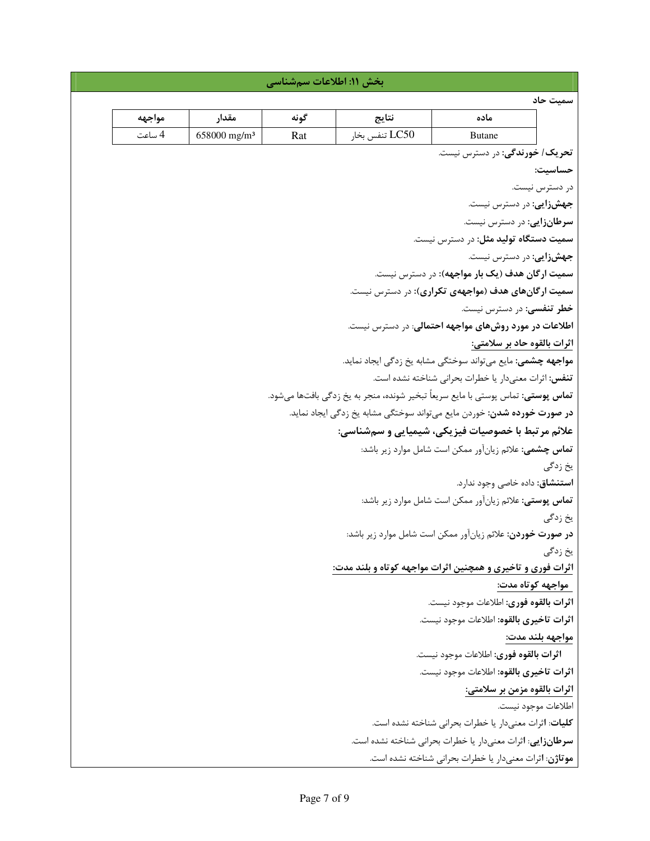|                                                                |                                          | بخش ١١: اطلاعات سمشناسي                                |                |                                                                                         |                     |
|----------------------------------------------------------------|------------------------------------------|--------------------------------------------------------|----------------|-----------------------------------------------------------------------------------------|---------------------|
|                                                                |                                          |                                                        |                |                                                                                         | سميت حاد            |
| مواجهه                                                         | مقدار                                    | گونه                                                   | نتايج          | ماده                                                                                    |                     |
| 4 ساعت                                                         | 658000 mg/m <sup>3</sup>                 | Rat                                                    | LC50 تنفس بخار | <b>Butane</b>                                                                           |                     |
|                                                                |                                          |                                                        |                | تحریک/ خورندگی: در دسترس نیست.                                                          |                     |
|                                                                |                                          |                                                        |                |                                                                                         | حساسيت:             |
|                                                                |                                          |                                                        |                |                                                                                         | در دسترس نیست.      |
|                                                                |                                          |                                                        |                | جهشزایی: در دسترس نیست.                                                                 |                     |
|                                                                |                                          |                                                        |                | سرطانزایی: در دسترس نیست.                                                               |                     |
|                                                                |                                          |                                                        |                | سمیت دستگاه تولید مثل: در دسترس نیست.                                                   |                     |
|                                                                |                                          |                                                        |                | جهشزايى: در دسترس نيست.                                                                 |                     |
|                                                                |                                          |                                                        |                | <b>سمیت ارگان هدف (یک بار مواجهه):</b> در دسترس نیست.                                   |                     |
|                                                                |                                          |                                                        |                | سمیت ارگانهای هدف (مواجههی تکراری): در دسترس نیست.                                      |                     |
|                                                                |                                          |                                                        |                | خطر تنفسی: در دسترس نیست.                                                               |                     |
|                                                                |                                          |                                                        |                | <b>اطلاعات در مورد روشهای مواجهه احتمالی</b> : در دسترس نیست.                           |                     |
|                                                                |                                          |                                                        |                | اثرات بالقوه حاد بر سلامتي:                                                             |                     |
|                                                                |                                          |                                                        |                | <b>مواجهه چشمی:</b> مایع میتواند سوختگی مشابه یخ زدگی ایجاد نماید.                      |                     |
|                                                                |                                          |                                                        |                | تنفس: اثرات معنىدار يا خطرات بحراني شناخته نشده است.                                    |                     |
|                                                                |                                          |                                                        |                | <b>تماس پوستی:</b> تماس پوستی با مایع سریعاً تبخیر شونده، منجر به یخ زدگی بافتها میشود. |                     |
|                                                                |                                          |                                                        |                | <b>در صورت خورده شدن</b> : خوردن مایع میتواند سوختگی مشابه یخ زدگی ایجاد نماید.         |                     |
|                                                                |                                          |                                                        |                | علائم مر تبط با خصوصیات فیزیکی، شیمیایی و سمشناسی:                                      |                     |
|                                                                |                                          | تماس چشمی: علائم زیانآور ممکن است شامل موارد زیر باشد: |                |                                                                                         |                     |
|                                                                |                                          |                                                        |                |                                                                                         | يخ زدگي             |
|                                                                |                                          |                                                        |                | <b>استنشاق</b> : داده خاصی وجود ندارد.                                                  |                     |
| <b>تماس پوستی:</b> علائم زیانآور ممکن است شامل موارد زیر باشد: |                                          | يخ زدگي                                                |                |                                                                                         |                     |
|                                                                |                                          |                                                        |                | <b>در صورت خوردن:</b> علائم زیانآور ممکن است شامل موارد زیر باشد:                       |                     |
|                                                                |                                          |                                                        |                |                                                                                         | یخ زدگی             |
|                                                                |                                          |                                                        |                | اثرات فوری و تاخیری و همچنین اثرات مواجهه کوتاه و بلند مدت:                             |                     |
|                                                                |                                          |                                                        |                |                                                                                         | مواجهه کوتاه مدت:   |
|                                                                |                                          |                                                        |                | اثرات بالقوه فورى: اطلاعات موجود نيست.                                                  |                     |
|                                                                | اثرات تاخيري بالقوه: اطلاعات موجود نيست. |                                                        |                |                                                                                         |                     |
| مواجهه بلند مدت:                                               |                                          |                                                        |                |                                                                                         |                     |
| اثرات بالقوه فورى: اطلاعات موجود نيست.                         |                                          |                                                        |                |                                                                                         |                     |
|                                                                |                                          |                                                        |                | اثرات تاخيري بالقوه: اطلاعات موجود نيست.                                                |                     |
|                                                                |                                          |                                                        |                | اثرات بالقوه مزمن بر سلامتي:                                                            |                     |
|                                                                |                                          |                                                        |                |                                                                                         | اطلاعات موجود نيست. |
|                                                                |                                          |                                                        |                | <b>کلیات</b> : اثرات معنیدار یا خطرات بحرانی شناخته نشده است.                           |                     |
|                                                                |                                          |                                                        |                | سرطانزایی: اثرات معنیدار یا خطرات بحرانی شناخته نشده است.                               |                     |
|                                                                |                                          |                                                        |                | موتاژن: اثرات معنىدار يا خطرات بحراني شناخته نشده است.                                  |                     |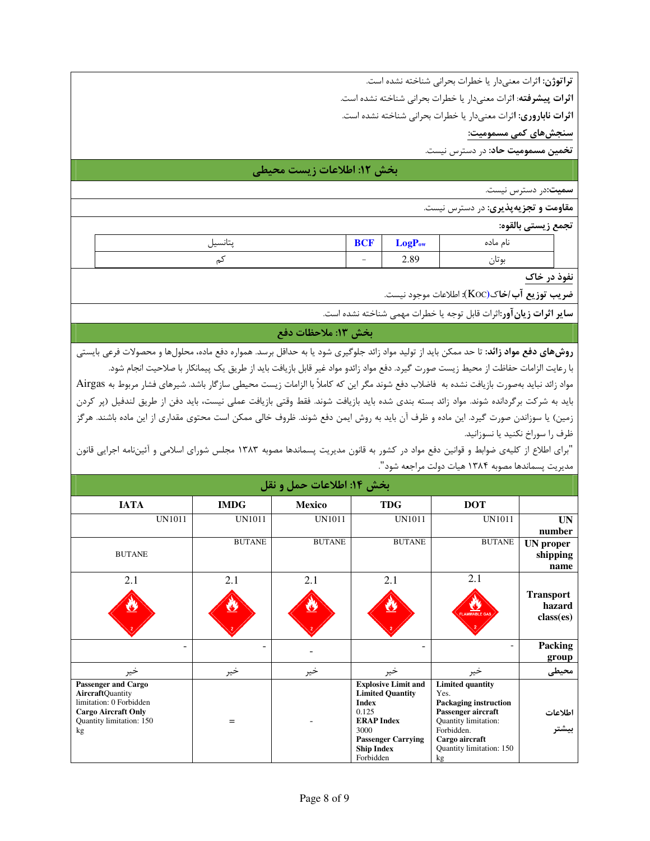تراتوژن: اثرات معنىدار يا خطرات بحرانى شناخته نشده است.

اثرات پیشرفته: اثرات معنیدار یا خطرات بحرانی شناخته نشده است.

اثرات ناباروری: اثرات معنیدار یا خطرات بحرانی شناخته نشده است.

سنجشهای کمی مسمومیت:

تخمین مسمومیت حاد: در دسترس نیست.

# بخش ١٢: اطلاعات زيست محيطي

سمیت:در دسترس نیست.

**مقاومت و تجزیهپذیری:** در دسترس نیست.

تجمع زيستي بالقوه:

| .<br>بتأنسيل | $\sim$ $\sim$<br>DUP     | LogP <sub>ow</sub> | نام ماده          |
|--------------|--------------------------|--------------------|-------------------|
| ىم           | $\overline{\phantom{0}}$ | 2.89               | ۰.<br>ىە تا،<br>ٮ |

نفوذ در خاک

**ضريب توزيع آب /خا**ك(Koc): اطلاعات موجود نيست.

**ساير اثرات زيان آور**:اثرات قابل توجه يا خطرات مهمى شناخته نشده است.

بخش ١٣: ملاحظات دفع

**روشهای دفع مواد زائد:** تا حد ممکن باید از تولید مواد زائد جلوگیری شود یا به حداقل برسد. همواره دفع ماده، محلولها و محصولات فرعی بایستی با رعايت الزامات حفاظت از محيط زيست صورت گيرد. دفع مواد زائدو مواد غير قابل بازيافت بايد از طريق يک پيمانکار با صلاحيت انجام شود.

مواد زائد نبايد بهصورت بازيافت نشده به فاضلاب دفع شوند مگر اين كه كاملاً با الزامات زيست محيطي سازگار باشد. شيرهاي فشار مربوط به Airgas باید به شرکت برگردانده شوند. مواد زائد بسته بندی شده باید بازیافت شوند. فقط وقتی بازیافت عملی نیست، باید دفن از طریق لندفیل (پر کردن زمین) یا سوزاندن صورت گیرد. این ماده و ظرف آن باید به روش ایمن دفع شوند. ظروف خالی ممکن است محتوی مقداری از این ماده باشند. هرگز ظرف را سوراخ نكنيد يا نسوزانيد.

"برای اطلاع از کلیهی ضوابط و قوانین دفع مواد در کشور به قانون مدیریت پسماندها مصوبه ۱۳۸۳ مجلس شورای اسلامی و آئیننامه اجرایی قانون مديريت پسماندها مصوبه ١٣٨۴ هيات دولت مراجعه شود".

| بخش ١٤: اطلاعات حمل و نقل                                                                                                                 |                          |               |                                                                                                                                                                            |                                                                                                                                                                                 |                                         |  |
|-------------------------------------------------------------------------------------------------------------------------------------------|--------------------------|---------------|----------------------------------------------------------------------------------------------------------------------------------------------------------------------------|---------------------------------------------------------------------------------------------------------------------------------------------------------------------------------|-----------------------------------------|--|
| <b>IATA</b>                                                                                                                               | <b>IMDG</b>              | <b>Mexico</b> | <b>TDG</b>                                                                                                                                                                 | <b>DOT</b>                                                                                                                                                                      |                                         |  |
|                                                                                                                                           | UN1011<br>UN1011         | UN1011        | UN1011                                                                                                                                                                     | UN1011                                                                                                                                                                          | <b>UN</b><br>number                     |  |
| <b>BUTANE</b>                                                                                                                             | <b>BUTANE</b>            | <b>BUTANE</b> | <b>BUTANE</b>                                                                                                                                                              | <b>BUTANE</b>                                                                                                                                                                   | <b>UN</b> proper<br>shipping<br>name    |  |
| 2.1                                                                                                                                       | 2.1                      | 2.1           | 2.1                                                                                                                                                                        | 2.1<br>U.<br>FLAMMABLE GA                                                                                                                                                       | <b>Transport</b><br>hazard<br>class(es) |  |
|                                                                                                                                           | $\overline{\phantom{0}}$ |               | -                                                                                                                                                                          | -                                                                                                                                                                               | Packing<br>group                        |  |
| خير                                                                                                                                       | خير                      | خير           | خير                                                                                                                                                                        | خير                                                                                                                                                                             | محيطى                                   |  |
| Passenger and Cargo<br><b>AircraftQuantity</b><br>limitation: 0 Forbidden<br><b>Cargo Aircraft Only</b><br>Quantity limitation: 150<br>kg | $=$                      |               | <b>Explosive Limit and</b><br><b>Limited Quantity</b><br><b>Index</b><br>0.125<br><b>ERAP Index</b><br>3000<br><b>Passenger Carrying</b><br><b>Ship Index</b><br>Forbidden | <b>Limited quantity</b><br>Yes.<br><b>Packaging instruction</b><br>Passenger aircraft<br>Quantity limitation:<br>Forbidden.<br>Cargo aircraft<br>Quantity limitation: 150<br>kg | اطلاعات<br>بیشتر                        |  |